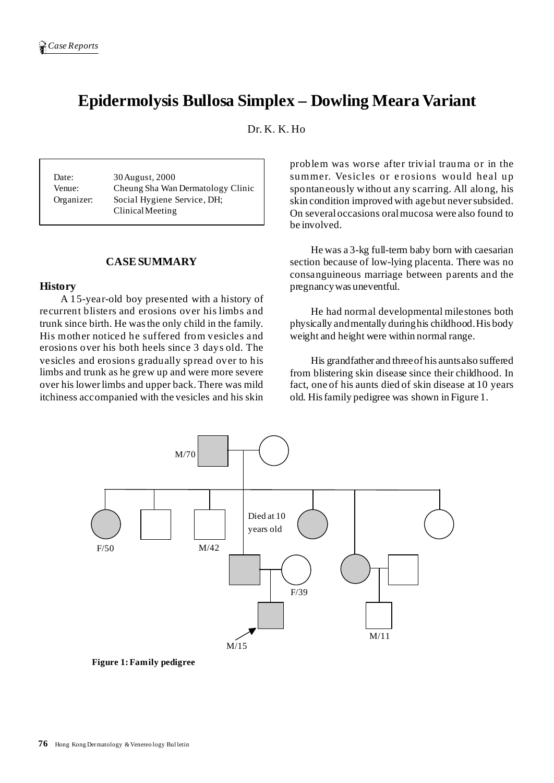# **Epidermolysis Bullosa Simplex – Dowling Meara Variant**

Dr. K. K. Ho

Date: 30 August, 2000 Venue: Cheung Sha Wan Dermatology Clinic Organizer: Social Hygiene Service, DH; ClinicalMeeting

# **CASESUMMARY**

#### **History**

A 15-year-old boy presented with a history of recurrent blisters and erosions over his limbs and trunk since birth. He wasthe only child in the family. His mother noticed he suffered from vesicles and erosions over his both heels since 3 days old. The vesicles and erosions gradually spread over to his limbs and trunk as he grew up and were more severe over his lowerlimbs and upper back.There was mild itchiness accompanied with the vesicles and his skin problem was worse after trivial trauma or in the summer. Vesicles or erosions would heal up spontaneously without any scarring. All along, his skin condition improved with agebut neversubsided. On severaloccasions oralmucosa were also found to be involved.

He was a 3-kg full-term baby born with caesarian section because of low-lying placenta. There was no consanguineous marriage between parents and the pregnancywas uneventful.

He had normal developmental milestones both physically andmentally duringhis childhood.His body weight and height were within normal range.

His grandfather and threeof his auntsalso suffered from blistering skin disease since their childhood. In fact, one of his aunts died of skin disease at 10 years old. Hisfamily pedigree was shown in Figure 1.

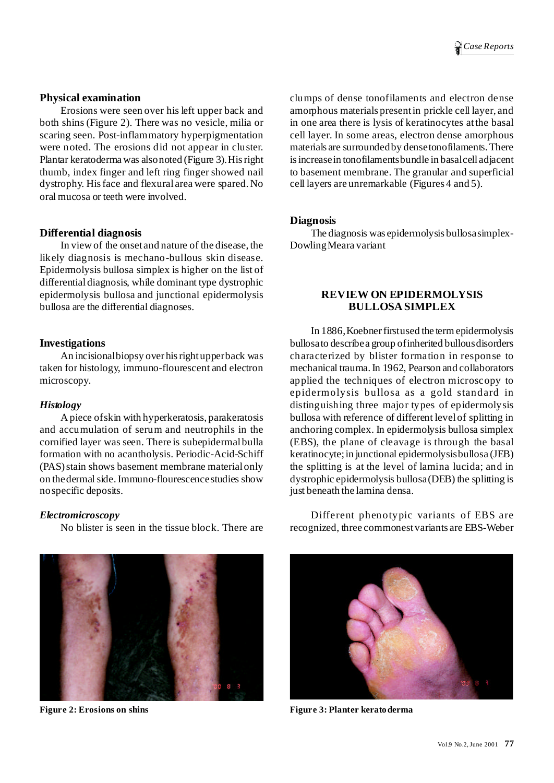## **Physical examination**

Erosions were seen over his left upper back and both shins (Figure 2). There was no vesicle, milia or scaring seen. Post-inflammatory hyperpigmentation were noted. The erosions did not appear in cluster. Plantar keratoderma was alsonoted (Figure 3).Hisright thumb, index finger and left ring finger showed nail dystrophy. Hisface and flexural area were spared. No oral mucosa or teeth were involved.

## **Differential diagnosis**

In view of the onset and nature of the disease, the likely diagnosis is mechano-bullous skin disease. Epidermolysis bullosa simplex is higher on the list of differentialdiagnosis, while dominant type dystrophic epidermolysis bullosa and junctional epidermolysis bullosa are the differential diagnoses.

## **Investigations**

An incisionalbiopsy over hisrightupperback was taken for histology, immuno-flourescent and electron microscopy.

## *Histology*

A piece ofskin with hyperkeratosis, parakeratosis and accumulation of serum and neutrophils in the cornified layer was seen. There is subepidermalbulla formation with no acantholysis. Periodic-Acid-Schiff (PAS)stain shows basement membrane materialonly on the dermal side. Immuno-flourescence studies show nospecific deposits.

## *Electromicroscopy*

No blister is seen in the tissue block. There are



clumps of dense tonofilaments and electron dense amorphous materials presentin prickle cell layer, and in one area there is lysis of keratinocytes atthe basal cell layer. In some areas, electron dense amorphous materials are surroundedby densetonofilaments.There isincreasein tonofilamentsbundle in basalcell adjacent to basement membrane. The granular and superficial cell layers are unremarkable (Figures 4 and 5).

#### **Diagnosis**

The diagnosis was epidermolysis bullosasimplex-DowlingMeara variant

# **REVIEW ON EPIDERMOLYSIS BULLOSA SIMPLEX**

In 1886,Koebnerfirstused the termepidermolysis bullosato describea group ofinherited bullousdisorders characterized by blister formation in response to mechanical trauma.In 1962, Pearson and collaborators applied the techniques of electron microscopy to epidermolysis bullosa as a gold standard in distinguishing three major types of epidermolysis bullosa with reference of different levelof splitting in anchoring complex. In epidermolysis bullosa simplex (EBS), the plane of cleavage is through the basal keratinocyte;in junctional epidermolysisbullosa (JEB) the splitting is at the level of lamina lucida; and in dystrophic epidermolysis bullosa(DEB) the splitting is just beneath the lamina densa.

Different phenotypic variants of EBS are recognized, three commonestvariants are EBS-Weber



**Figure 2: Erosions on shins Figure 3: Planter keratoderma**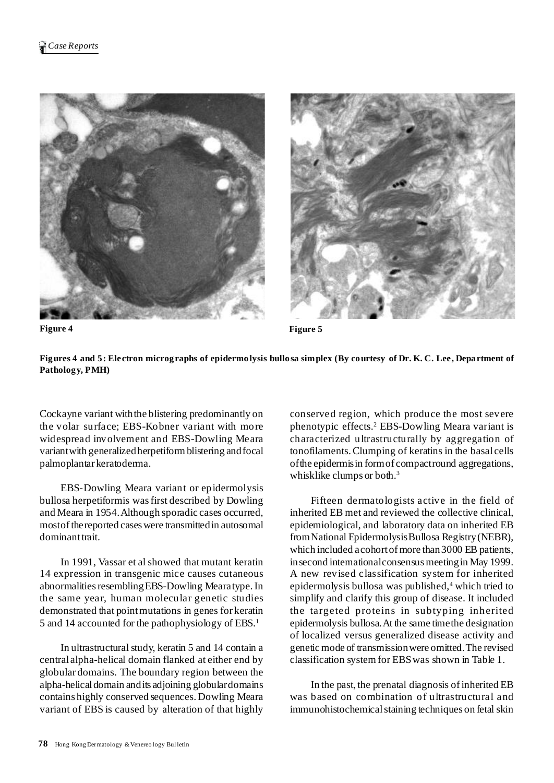





Cockayne variant withthe blistering predominantly on the volar surface; EBS-Kobner variant with more widespread involvement and EBS-Dowling Meara variant with generalized herpetiform blistering and focal palmoplantar keratoderma.

EBS-Dowling Meara variant or epidermolysis bullosa herpetiformis wasfirst described by Dowling and Meara in 1954.Although sporadic cases occurred, mostofthereported caseswere transmittedin autosomal dominant trait.

In 1991, Vassar et al showed that mutant keratin 14 expression in transgenic mice causes cutaneous abnormalities resembling EBS-Dowling Mearatype. In the same year, human molecular genetic studies demonstrated that pointmutations in genes for keratin 5 and 14 accounted for the pathophysiology of EBS. 1

In ultrastructural study, keratin 5 and 14 contain a central alpha-helical domain flanked at either end by globular domains. The boundary region between the alpha-helicaldomain andits adjoining globulardomains contains highly conserved sequences. Dowling Meara variant of EBS is caused by alteration of that highly

conserved region, which produce the most severe phenotypic effects. <sup>2</sup> EBS-Dowling Meara variant is characterized ultrastructurally by aggregation of tonofilaments.Clumping of keratins in the basal cells ofthe epidermisin formof compactround aggregations, whisklike clumps or both.<sup>3</sup>

Fifteen dermatologists active in the field of inherited EB met and reviewed the collective clinical, epidemiological, and laboratory data on inherited EB fromNational EpidermolysisBullosa Registry(NEBR), which included a cohort of more than 3000 EB patients, in second international consensus meeting in May 1999. A new revised classification system for inherited epidermolysis bullosa was published, <sup>4</sup> which tried to simplify and clarify this group of disease. It included the targeted proteins in subtyping inherited epidermolysis bullosa.At the same timethe designation of localized versus generalized disease activity and genetic mode of transmissionwere omitted.The revised classification systemfor EBSwas shown in Table 1.

In the past, the prenatal diagnosis ofinherited EB was based on combination of ultrastructural and immunohistochemical staining techniques on fetal skin